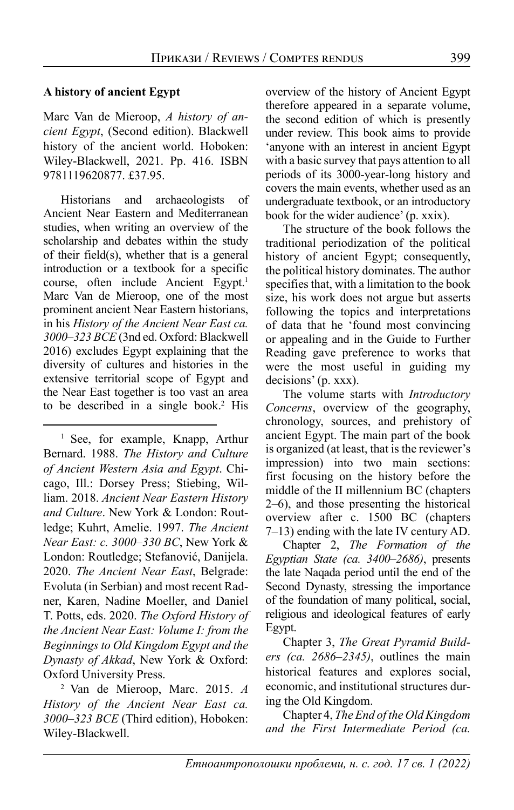## **A history of ancient Egypt**

Marc Van de Mieroop, *A history of ancient Egypt*, (Second edition). Blackwell history of the ancient world. Hoboken: Wiley-Blackwell, 2021. Pp. 416. ISBN 9781119620877. £37.95.

Historians and archaeologists of Ancient Near Eastern and Mediterranean studies, when writing an overview of the scholarship and debates within the study of their field(s), whether that is a general introduction or a textbook for a specific course, often include Ancient Egypt.<sup>1</sup> Marc Van de Mieroop, one of the most prominent ancient Near Eastern historians, in his *History of the Ancient Near East ca. 3000–323 BCE* (3nd ed. Oxford: Blackwell 2016 ) excludes Egypt explaining that the diversity of cultures and histories in the extensive territorial scope of Egypt and the Near East together is too vast an area to be described in a single book.2 His

<sup>1</sup> See, for example, Knapp, Arthur Bernard. 1988. *The History and Culture of Ancient Western Asia and Egypt*. Chicago, Ill.: Dorsey Press; Stiebing, William. 2018. *Ancient Near Eastern History and Culture*. New York & London: Routledge; Kuhrt, Amelie. 1997. *The Ancient Near East: c. 3000–330 BC*, New York & London: Routledge; Stefanović, Danijela. 2020. *The Ancient Near East*, Belgrade: Evoluta (in Serbian) and most recent Radner, Karen, Nadine Moeller, and Daniel T. Potts, eds. 2020. *The Oxford History of the Ancient Near East: Volume I: from the Beginnings to Old Kingdom Egypt and the Dynasty of Akkad*, New York & Oxford: Oxford University Press.

2 Van de Mieroop, Marc. 2015. *A History of the Ancient Near East ca. 3000–323 BCE* (Third edition), Hoboken: Wiley-Blackwell.

overview of the history of Ancient Egypt therefore appeared in a separate volume, the second edition of which is presently under review. This book aims to provide 'anyone with an interest in ancient Egypt with a basic survey that pays attention to all periods of its 3000‐year‐long history and covers the main events, whether used as an undergraduate textbook, or an introductory book for the wider audience' (p. xxix).

The structure of the book follows the traditional periodization of the political history of ancient Egypt; consequently, the political history dominates. The author specifies that, with a limitation to the book size, his work does not argue but asserts following the topics and interpretations of data that he 'found most convincing or appealing and in the Guide to Further Reading gave preference to works that were the most useful in guiding my decisions' (p. xxx).

The volume starts with *Introductory Concerns*, overview of the geography, chronology, sources, and prehistory of ancient Egypt. The main part of the book is organized (at least, that is the reviewer's impression) into two main sections: first focusing on the history before the middle of the II millennium BC (chapters 2–6), and those presenting the historical overview after c. 1500 BC (chapters 7–13) ending with the late IV century AD.

Chapter 2, *The Formation of the Egyptian State (ca. 3400–2686)*, presents the late Naqada period until the end of the Second Dynasty, stressing the importance of the foundation of many political, social, religious and ideological features of early Egypt.

Chapter 3, *The Great Pyramid Builders (ca. 2686–2345)*, outlines the main historical features and explores social, economic, and institutional structures during the Old Kingdom.

Chapter 4, *The End of the Old Kingdom and the First Intermediate Period (ca.*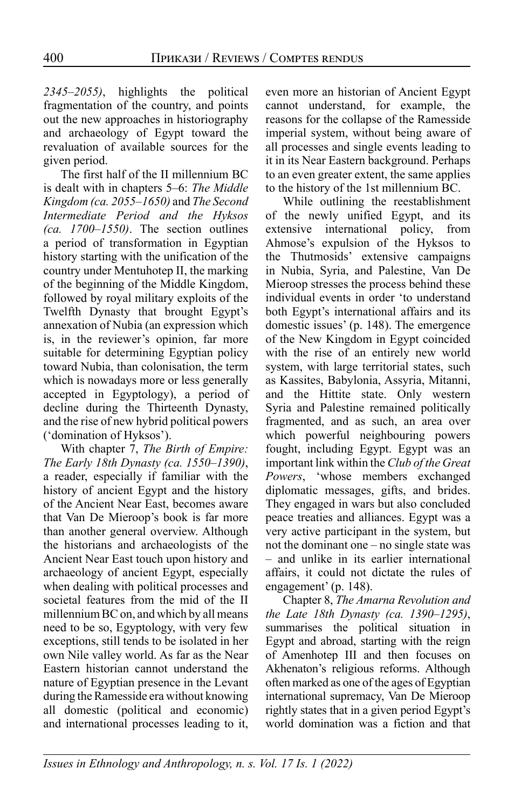*2345–2055)*, highlights the political fragmentation of the country, and points out the new approaches in historiography and archaeology of Egypt toward the revaluation of available sources for the given period.

The first half of the II millennium BC is dealt with in chapters 5–6: *The Middle Kingdom (ca. 2055–1650)* and *The Second Intermediate Period and the Hyksos (ca. 1700–1550)*. The section outlines a period of transformation in Egyptian history starting with the unification of the country under Mentuhotep II, the marking of the beginning of the Middle Kingdom, followed by royal military exploits of the Twelfth Dynasty that brought Egypt's annexation of Nubia (an expression which is, in the reviewer's opinion, far more suitable for determining Egyptian policy toward Nubia, than colonisation, the term which is nowadays more or less generally accepted in Egyptology), a period of decline during the Thirteenth Dynasty, and the rise of new hybrid political powers ('domination of Hyksos').

With chapter 7, *The Birth of Empire: The Early 18th Dynasty (ca. 1550–1390)*, a reader, especially if familiar with the history of ancient Egypt and the history of the Ancient Near East, becomes aware that Van De Mieroop's book is far more than another general overview. Although the historians and archaeologists of the Ancient Near East touch upon history and archaeology of ancient Egypt, especially when dealing with political processes and societal features from the mid of the II millennium BC on, and which by all means need to be so, Egyptology, with very few exceptions, still tends to be isolated in her own Nile valley world. As far as the Near Eastern historian cannot understand the nature of Egyptian presence in the Levant during the Ramesside era without knowing all domestic (political and economic) and international processes leading to it, even more an historian of Ancient Egypt cannot understand, for example, the reasons for the collapse of the Ramesside imperial system, without being aware of all processes and single events leading to it in its Near Eastern background. Perhaps to an even greater extent, the same applies to the history of the 1st millennium BC.

While outlining the reestablishment of the newly unified Egypt, and its extensive international policy, from Ahmose's expulsion of the Hyksos to the Thutmosids' extensive campaigns in Nubia, Syria, and Palestine, Van De Mieroop stresses the process behind these individual events in order 'to understand both Egypt's international affairs and its domestic issues' (p. 148). The emergence of the New Kingdom in Egypt coincided with the rise of an entirely new world system, with large territorial states, such as Kassites, Babylonia, Assyria, Mitanni, and the Hittite state. Only western Syria and Palestine remained politically fragmented, and as such, an area over which powerful neighbouring powers fought, including Egypt. Egypt was an important link within the *Club of the Great Powers*, 'whose members exchanged diplomatic messages, gifts, and brides. They engaged in wars but also concluded peace treaties and alliances. Egypt was a very active participant in the system, but not the dominant one – no single state was – and unlike in its earlier international affairs, it could not dictate the rules of engagement' (p. 148).

Chapter 8, *The Amarna Revolution and the Late 18th Dynasty (ca. 1390–1295)*, summarises the political situation in Egypt and abroad, starting with the reign of Amenhotep III and then focuses on Akhenaton's religious reforms. Although often marked as one of the ages of Egyptian international supremacy, Van De Mieroop rightly states that in a given period Egypt's world domination was a fiction and that